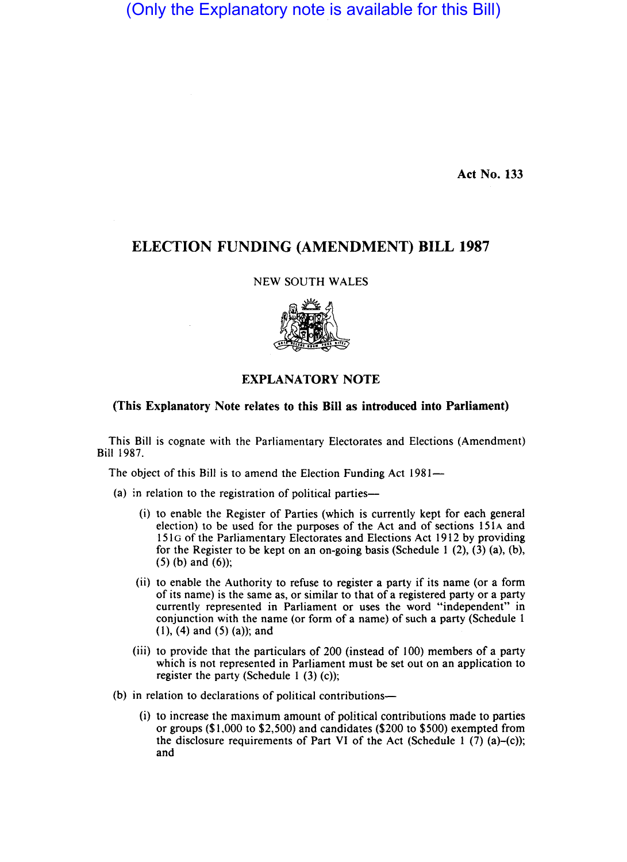(Only the Explanatory note is available for this Bill)

Act No. 133

## ELECTION FUNDING (AMENDMENT) BILL 1987

NEW SOUTH WALES



## EXPLANATORY NOTE

## (This Explanatory Note relates to this Bill as introduced into Parliament)

This Bill is cognate with the Parliamentary Electorates and Elections (Amendment) Bill 1987.

The object of this Bill is to amend the Election Funding Act 1981—

- (a) in relation to the registration of political parties-
	- (i) to enable the Register of Parties (which is currently kept for each general election) to be used for the purposes of the Act and of sections 151A and 151G of the Parliamentary Electorates and Elections Act 1912 by providing for the Register to be kept on an on-going basis (Schedule 1 (2), (3) (a), (b),  $(5)$  (b) and  $(6)$ );
	- (ii) to enable the Authority to refuse to register a party if its name (or a form of its name) is the same as, or similar to that of a registered party or a party currently represented in Parliament or uses the word "independent" in conjunction with the name (or form of a name) of such a party (Schedule 1  $(1)$ ,  $(4)$  and  $(5)$   $(a)$ ; and
	- (iii) to provide that the particulars of 200 (instead of 100) members of a party which is not represented in Parliament must be set out on an application to register the party (Schedule 1 $(3)$  $(c)$ );
- (b) in relation to declarations of political contributions-
	- (i) to increase the maximum amount of political contributions made to parties or groups (\$1,000 to \$2,500) and candidates (\$200 to \$500) exempted from the disclosure requirements of Part VI of the Act (Schedule 1  $(7)$  (a)–(c)); and